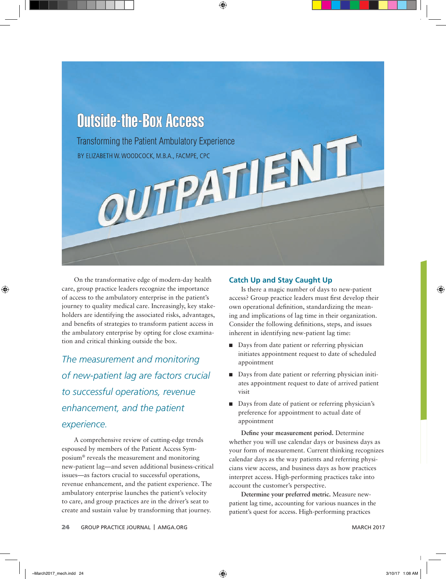

On the transformative edge of modern-day health care, group practice leaders recognize the importance of access to the ambulatory enterprise in the patient's journey to quality medical care. Increasingly, key stakeholders are identifying the associated risks, advantages, and benefits of strategies to transform patient access in the ambulatory enterprise by opting for close examination and critical thinking outside the box.

*The measurement and monitoring of new-patient lag are factors crucial to successful operations, revenue enhancement, and the patient experience.* 

A comprehensive review of cutting-edge trends espoused by members of the Patient Access Symposium® reveals the measurement and monitoring new-patient lag—and seven additional business-critical issues—as factors crucial to successful operations, revenue enhancement, and the patient experience. The ambulatory enterprise launches the patient's velocity to care, and group practices are in the driver's seat to create and sustain value by transforming that journey.

#### **Catch Up and Stay Caught Up**

Is there a magic number of days to new-patient access? Group practice leaders must first develop their own operational definition, standardizing the meaning and implications of lag time in their organization. Consider the following definitions, steps, and issues inherent in identifying new-patient lag time:

- Days from date patient or referring physician initiates appointment request to date of scheduled appointment
- Days from date patient or referring physician initiates appointment request to date of arrived patient visit
- Days from date of patient or referring physician's preference for appointment to actual date of appointment

**Define your measurement period.** Determine whether you will use calendar days or business days as your form of measurement. Current thinking recognizes calendar days as the way patients and referring physicians view access, and business days as how practices interpret access. High-performing practices take into account the customer's perspective.

**Determine your preferred metric.** Measure newpatient lag time, accounting for various nuances in the patient's quest for access. High-performing practices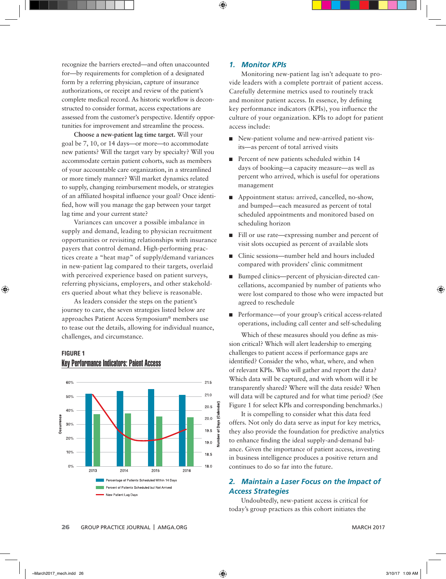recognize the barriers erected—and often unaccounted for—by requirements for completion of a designated form by a referring physician, capture of insurance authorizations, or receipt and review of the patient's complete medical record. As historic workflow is deconstructed to consider format, access expectations are assessed from the customer's perspective. Identify opportunities for improvement and streamline the process.

**Choose a new-patient lag time target.** Will your goal be 7, 10, or 14 days—or more—to accommodate new patients? Will the target vary by specialty? Will you accommodate certain patient cohorts, such as members of your accountable care organization, in a streamlined or more timely manner? Will market dynamics related to supply, changing reimbursement models, or strategies of an affiliated hospital influence your goal? Once identified, how will you manage the gap between your target lag time and your current state?

Variances can uncover a possible imbalance in supply and demand, leading to physician recruitment opportunities or revisiting relationships with insurance payers that control demand. High-performing practices create a "heat map" of supply/demand variances in new-patient lag compared to their targets, overlaid with perceived experience based on patient surveys, referring physicians, employers, and other stakeholders queried about what they believe is reasonable.

As leaders consider the steps on the patient's journey to care, the seven strategies listed below are approaches Patient Access Symposium® members use to tease out the details, allowing for individual nuance, challenges, and circumstance.

## **FIGURE 1** Key Performance Indicators: Paient Access



#### *1. Monitor KPIs*

Monitoring new-patient lag isn't adequate to provide leaders with a complete portrait of patient access. Carefully determine metrics used to routinely track and monitor patient access. In essence, by defining key performance indicators (KPIs), you influence the culture of your organization. KPIs to adopt for patient access include:

- New-patient volume and new-arrived patient visits—as percent of total arrived visits
- Percent of new patients scheduled within 14 days of booking—a capacity measure—as well as percent who arrived, which is useful for operations management
- Appointment status: arrived, cancelled, no-show, and bumped—each measured as percent of total scheduled appointments and monitored based on scheduling horizon
- Fill or use rate—expressing number and percent of visit slots occupied as percent of available slots
- Clinic sessions—number held and hours included compared with providers' clinic commitment
- Bumped clinics—percent of physician-directed cancellations, accompanied by number of patients who were lost compared to those who were impacted but agreed to reschedule
- Performance—of your group's critical access-related operations, including call center and self-scheduling

Which of these measures should you define as mission critical? Which will alert leadership to emerging challenges to patient access if performance gaps are identified? Consider the who, what, where, and when of relevant KPIs. Who will gather and report the data? Which data will be captured, and with whom will it be transparently shared? Where will the data reside? When will data will be captured and for what time period? (See Figure 1 for select KPIs and corresponding benchmarks.)

It is compelling to consider what this data feed offers. Not only do data serve as input for key metrics, they also provide the foundation for predictive analytics to enhance finding the ideal supply-and-demand balance. Given the importance of patient access, investing in business intelligence produces a positive return and continues to do so far into the future.

## *2. Maintain a Laser Focus on the Impact of Access Strategies*

Undoubtedly, new-patient access is critical for today's group practices as this cohort initiates the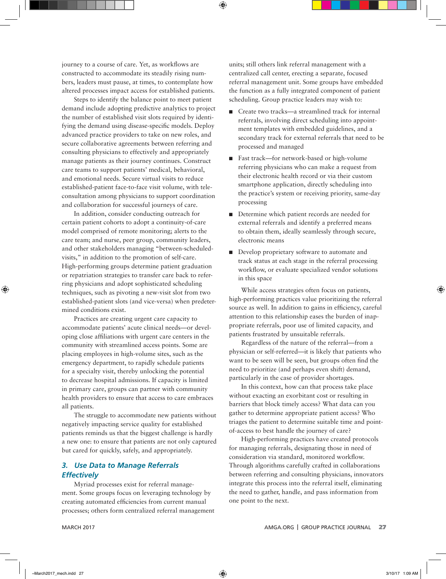journey to a course of care. Yet, as workflows are constructed to accommodate its steadily rising numbers, leaders must pause, at times, to contemplate how altered processes impact access for established patients.

Steps to identify the balance point to meet patient demand include adopting predictive analytics to project the number of established visit slots required by identifying the demand using disease-specific models. Deploy advanced practice providers to take on new roles, and secure collaborative agreements between referring and consulting physicians to effectively and appropriately manage patients as their journey continues. Construct care teams to support patients' medical, behavioral, and emotional needs. Secure virtual visits to reduce established-patient face-to-face visit volume, with teleconsultation among physicians to support coordination and collaboration for successful journeys of care.

In addition, consider conducting outreach for certain patient cohorts to adopt a continuity-of-care model comprised of remote monitoring; alerts to the care team; and nurse, peer group, community leaders, and other stakeholders managing "between-scheduledvisits," in addition to the promotion of self-care. High-performing groups determine patient graduation or repatriation strategies to transfer care back to referring physicians and adopt sophisticated scheduling techniques, such as pivoting a new-visit slot from two established-patient slots (and vice-versa) when predetermined conditions exist.

Practices are creating urgent care capacity to accommodate patients' acute clinical needs—or developing close affiliations with urgent care centers in the community with streamlined access points. Some are placing employees in high-volume sites, such as the emergency department, to rapidly schedule patients for a specialty visit, thereby unlocking the potential to decrease hospital admissions. If capacity is limited in primary care, groups can partner with community health providers to ensure that access to care embraces all patients.

The struggle to accommodate new patients without negatively impacting service quality for established patients reminds us that the biggest challenge is hardly a new one: to ensure that patients are not only captured but cared for quickly, safely, and appropriately.

### *3. Use Data to Manage Referrals Effectively*

Myriad processes exist for referral management. Some groups focus on leveraging technology by creating automated efficiencies from current manual processes; others form centralized referral management

units; still others link referral management with a centralized call center, erecting a separate, focused referral management unit. Some groups have embedded the function as a fully integrated component of patient scheduling. Group practice leaders may wish to:

- Create two tracks—a streamlined track for internal referrals, involving direct scheduling into appointment templates with embedded guidelines, and a secondary track for external referrals that need to be processed and managed
- Fast track—for network-based or high-volume referring physicians who can make a request from their electronic health record or via their custom smartphone application, directly scheduling into the practice's system or receiving priority, same-day processing
- Determine which patient records are needed for external referrals and identify a preferred means to obtain them, ideally seamlessly through secure, electronic means
- Develop proprietary software to automate and track status at each stage in the referral processing workflow, or evaluate specialized vendor solutions in this space

While access strategies often focus on patients, high-performing practices value prioritizing the referral source as well. In addition to gains in efficiency, careful attention to this relationship eases the burden of inappropriate referrals, poor use of limited capacity, and patients frustrated by unsuitable referrals.

Regardless of the nature of the referral—from a physician or self-referred—it is likely that patients who want to be seen will be seen, but groups often find the need to prioritize (and perhaps even shift) demand, particularly in the case of provider shortages.

In this context, how can that process take place without exacting an exorbitant cost or resulting in barriers that block timely access? What data can you gather to determine appropriate patient access? Who triages the patient to determine suitable time and pointof-access to best handle the journey of care?

High-performing practices have created protocols for managing referrals, designating those in need of consideration via standard, monitored workflow. Through algorithms carefully crafted in collaborations between referring and consulting physicians, innovators integrate this process into the referral itself, eliminating the need to gather, handle, and pass information from one point to the next.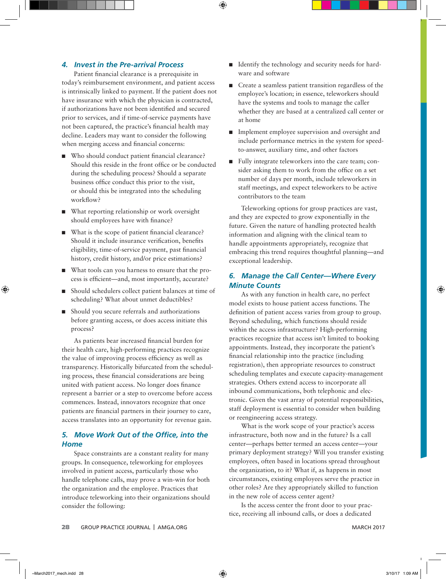### *4. Invest in the Pre-arrival Process*

Patient financial clearance is a prerequisite in today's reimbursement environment, and patient access is intrinsically linked to payment. If the patient does not have insurance with which the physician is contracted, if authorizations have not been identified and secured prior to services, and if time-of-service payments have not been captured, the practice's financial health may decline. Leaders may want to consider the following when merging access and financial concerns:

- Who should conduct patient financial clearance? Should this reside in the front office or be conducted during the scheduling process? Should a separate business office conduct this prior to the visit, or should this be integrated into the scheduling workflow?
- What reporting relationship or work oversight should employees have with finance?
- What is the scope of patient financial clearance? Should it include insurance verification, benefits eligibility, time-of-service payment, past financial history, credit history, and/or price estimations?
- What tools can you harness to ensure that the process is efficient—and, most importantly, accurate?
- Should schedulers collect patient balances at time of scheduling? What about unmet deductibles?
- Should you secure referrals and authorizations before granting access, or does access initiate this process?

As patients bear increased financial burden for their health care, high-performing practices recognize the value of improving process efficiency as well as transparency. Historically bifurcated from the scheduling process, these financial considerations are being united with patient access. No longer does finance represent a barrier or a step to overcome before access commences. Instead, innovators recognize that once patients are financial partners in their journey to care, access translates into an opportunity for revenue gain.

#### **5. Move Work Out of the Office, into the** *Home*

Space constraints are a constant reality for many groups. In consequence, teleworking for employees involved in patient access, particularly those who handle telephone calls, may prove a win-win for both the organization and the employee. Practices that introduce teleworking into their organizations should consider the following:

- Identify the technology and security needs for hardware and software
- Create a seamless patient transition regardless of the employee's location; in essence, teleworkers should have the systems and tools to manage the caller whether they are based at a centralized call center or at home
- Implement employee supervision and oversight and include performance metrics in the system for speedto-answer, auxiliary time, and other factors
- Fully integrate teleworkers into the care team; consider asking them to work from the office on a set number of days per month, include teleworkers in staff meetings, and expect teleworkers to be active contributors to the team

Teleworking options for group practices are vast, and they are expected to grow exponentially in the future. Given the nature of handling protected health information and aligning with the clinical team to handle appointments appropriately, recognize that embracing this trend requires thoughtful planning—and exceptional leadership.

# *6. Manage the Call Center—Where Every Minute Counts*

As with any function in health care, no perfect model exists to house patient access functions. The definition of patient access varies from group to group. Beyond scheduling, which functions should reside within the access infrastructure? High-performing practices recognize that access isn't limited to booking appointments. Instead, they incorporate the patient's financial relationship into the practice (including registration), then appropriate resources to construct scheduling templates and execute capacity-management strategies. Others extend access to incorporate all inbound communications, both telephonic and electronic. Given the vast array of potential responsibilities, staff deployment is essential to consider when building or reengineering access strategy.

What is the work scope of your practice's access infrastructure, both now and in the future? Is a call center—perhaps better termed an access center—your primary deployment strategy? Will you transfer existing employees, often based in locations spread throughout the organization, to it? What if, as happens in most circumstances, existing employees serve the practice in other roles? Are they appropriately skilled to function in the new role of access center agent?

Is the access center the front door to your practice, receiving all inbound calls, or does a dedicated